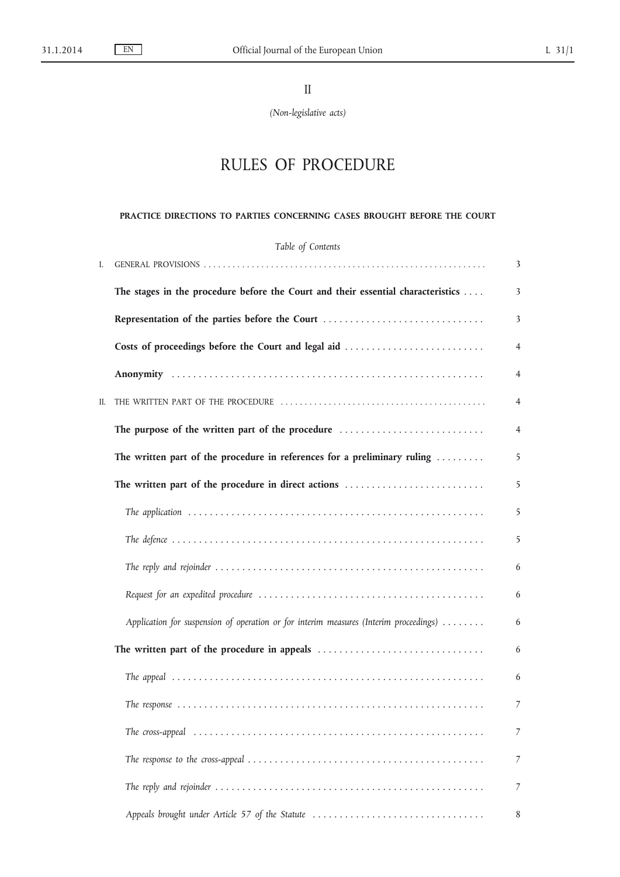II

*(Non-legislative acts)*

# RULES OF PROCEDURE

# **PRACTICE DIRECTIONS TO PARTIES CONCERNING CASES BROUGHT BEFORE THE COURT**

# *Table of Contents*

| I. |                                                                                       | 3              |
|----|---------------------------------------------------------------------------------------|----------------|
|    | The stages in the procedure before the Court and their essential characteristics      | 3              |
|    | Representation of the parties before the Court                                        | 3              |
|    | Costs of proceedings before the Court and legal aid                                   | $\overline{4}$ |
|    |                                                                                       | 4              |
| П. |                                                                                       | 4              |
|    | The purpose of the written part of the procedure                                      | $\overline{4}$ |
|    | The written part of the procedure in references for a preliminary ruling              | 5              |
|    | The written part of the procedure in direct actions                                   | 5              |
|    |                                                                                       | 5              |
|    |                                                                                       | 5              |
|    |                                                                                       | 6              |
|    |                                                                                       | 6              |
|    | Application for suspension of operation or for interim measures (Interim proceedings) | 6              |
|    | The written part of the procedure in appeals                                          | 6              |
|    |                                                                                       | 6              |
|    |                                                                                       | 7              |
|    |                                                                                       | $\overline{7}$ |
|    |                                                                                       | 7              |
|    |                                                                                       | 7              |
|    | Appeals brought under Article 57 of the Statute                                       | 8              |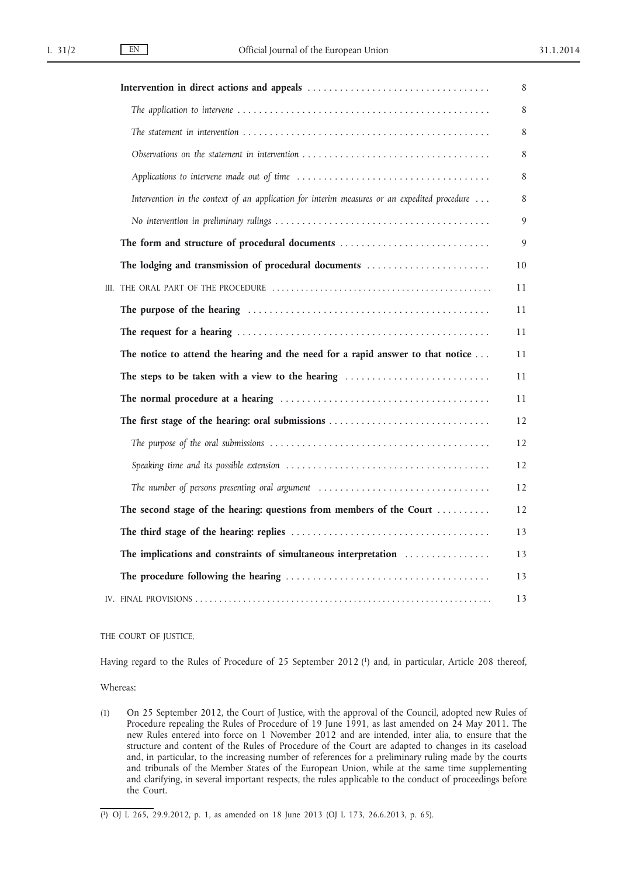|                                                                                              | 8  |
|----------------------------------------------------------------------------------------------|----|
|                                                                                              | 8  |
|                                                                                              | 8  |
| Observations on the statement in intervention                                                | 8  |
|                                                                                              | 8  |
| Intervention in the context of an application for interim measures or an expedited procedure | 8  |
|                                                                                              | 9  |
| The form and structure of procedural documents                                               | 9  |
| The lodging and transmission of procedural documents                                         | 10 |
|                                                                                              | 11 |
|                                                                                              | 11 |
|                                                                                              | 11 |
| The notice to attend the hearing and the need for a rapid answer to that notice              | 11 |
| The steps to be taken with a view to the hearing                                             | 11 |
|                                                                                              | 11 |
| The first stage of the hearing: oral submissions                                             | 12 |
|                                                                                              | 12 |
|                                                                                              | 12 |
| The number of persons presenting oral argument                                               | 12 |
| The second stage of the hearing: questions from members of the Court                         | 12 |
|                                                                                              | 13 |
| The implications and constraints of simultaneous interpretation                              | 13 |
|                                                                                              | 13 |
|                                                                                              | 13 |

THE COURT OF JUSTICE,

Having regard to the Rules of Procedure of 25 September 2012 (1) and, in particular, Article 208 thereof,

Whereas:

<sup>(1)</sup> On 25 September 2012, the Court of Justice, with the approval of the Council, adopted new Rules of Procedure repealing the Rules of Procedure of 19 June 1991, as last amended on 24 May 2011. The new Rules entered into force on 1 November 2012 and are intended, inter alia, to ensure that the structure and content of the Rules of Procedure of the Court are adapted to changes in its caseload and, in particular, to the increasing number of references for a preliminary ruling made by the courts and tribunals of the Member States of the European Union, while at the same time supplementing and clarifying, in several important respects, the rules applicable to the conduct of proceedings before the Court.

<sup>(</sup> 1) OJ L 265, 29.9.2012, p. 1, as amended on 18 June 2013 (OJ L 173, 26.6.2013, p. 65).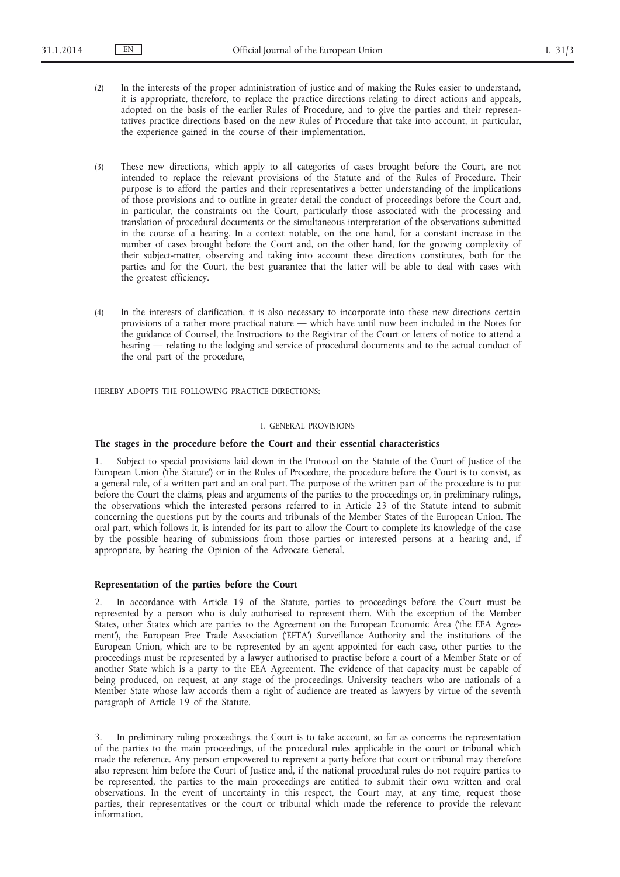- (2) In the interests of the proper administration of justice and of making the Rules easier to understand, it is appropriate, therefore, to replace the practice directions relating to direct actions and appeals, adopted on the basis of the earlier Rules of Procedure, and to give the parties and their representatives practice directions based on the new Rules of Procedure that take into account, in particular, the experience gained in the course of their implementation.
- (3) These new directions, which apply to all categories of cases brought before the Court, are not intended to replace the relevant provisions of the Statute and of the Rules of Procedure. Their purpose is to afford the parties and their representatives a better understanding of the implications of those provisions and to outline in greater detail the conduct of proceedings before the Court and, in particular, the constraints on the Court, particularly those associated with the processing and translation of procedural documents or the simultaneous interpretation of the observations submitted in the course of a hearing. In a context notable, on the one hand, for a constant increase in the number of cases brought before the Court and, on the other hand, for the growing complexity of their subject-matter, observing and taking into account these directions constitutes, both for the parties and for the Court, the best guarantee that the latter will be able to deal with cases with the greatest efficiency.
- (4) In the interests of clarification, it is also necessary to incorporate into these new directions certain provisions of a rather more practical nature — which have until now been included in the Notes for the guidance of Counsel, the Instructions to the Registrar of the Court or letters of notice to attend a hearing — relating to the lodging and service of procedural documents and to the actual conduct of the oral part of the procedure,

HEREBY ADOPTS THE FOLLOWING PRACTICE DIRECTIONS:

#### I. GENERAL PROVISIONS

#### **The stages in the procedure before the Court and their essential characteristics**

1. Subject to special provisions laid down in the Protocol on the Statute of the Court of Justice of the European Union ('the Statute') or in the Rules of Procedure, the procedure before the Court is to consist, as a general rule, of a written part and an oral part. The purpose of the written part of the procedure is to put before the Court the claims, pleas and arguments of the parties to the proceedings or, in preliminary rulings, the observations which the interested persons referred to in Article 23 of the Statute intend to submit concerning the questions put by the courts and tribunals of the Member States of the European Union. The oral part, which follows it, is intended for its part to allow the Court to complete its knowledge of the case by the possible hearing of submissions from those parties or interested persons at a hearing and, if appropriate, by hearing the Opinion of the Advocate General.

## **Representation of the parties before the Court**

2. In accordance with Article 19 of the Statute, parties to proceedings before the Court must be represented by a person who is duly authorised to represent them. With the exception of the Member States, other States which are parties to the Agreement on the European Economic Area ('the EEA Agreement'), the European Free Trade Association ('EFTA') Surveillance Authority and the institutions of the European Union, which are to be represented by an agent appointed for each case, other parties to the proceedings must be represented by a lawyer authorised to practise before a court of a Member State or of another State which is a party to the EEA Agreement. The evidence of that capacity must be capable of being produced, on request, at any stage of the proceedings. University teachers who are nationals of a Member State whose law accords them a right of audience are treated as lawyers by virtue of the seventh paragraph of Article 19 of the Statute.

3. In preliminary ruling proceedings, the Court is to take account, so far as concerns the representation of the parties to the main proceedings, of the procedural rules applicable in the court or tribunal which made the reference. Any person empowered to represent a party before that court or tribunal may therefore also represent him before the Court of Justice and, if the national procedural rules do not require parties to be represented, the parties to the main proceedings are entitled to submit their own written and oral observations. In the event of uncertainty in this respect, the Court may, at any time, request those parties, their representatives or the court or tribunal which made the reference to provide the relevant information.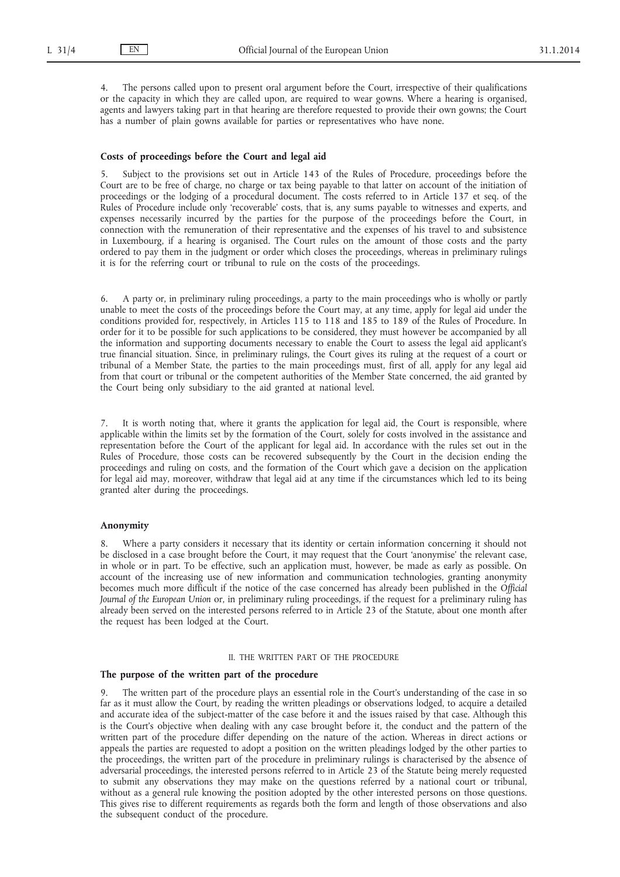The persons called upon to present oral argument before the Court, irrespective of their qualifications or the capacity in which they are called upon, are required to wear gowns. Where a hearing is organised, agents and lawyers taking part in that hearing are therefore requested to provide their own gowns; the Court has a number of plain gowns available for parties or representatives who have none.

#### **Costs of proceedings before the Court and legal aid**

5. Subject to the provisions set out in Article 143 of the Rules of Procedure, proceedings before the Court are to be free of charge, no charge or tax being payable to that latter on account of the initiation of proceedings or the lodging of a procedural document. The costs referred to in Article 137 et seq. of the Rules of Procedure include only 'recoverable' costs, that is, any sums payable to witnesses and experts, and expenses necessarily incurred by the parties for the purpose of the proceedings before the Court, in connection with the remuneration of their representative and the expenses of his travel to and subsistence in Luxembourg, if a hearing is organised. The Court rules on the amount of those costs and the party ordered to pay them in the judgment or order which closes the proceedings, whereas in preliminary rulings it is for the referring court or tribunal to rule on the costs of the proceedings.

6. A party or, in preliminary ruling proceedings, a party to the main proceedings who is wholly or partly unable to meet the costs of the proceedings before the Court may, at any time, apply for legal aid under the conditions provided for, respectively, in Articles 115 to 118 and 185 to 189 of the Rules of Procedure. In order for it to be possible for such applications to be considered, they must however be accompanied by all the information and supporting documents necessary to enable the Court to assess the legal aid applicant's true financial situation. Since, in preliminary rulings, the Court gives its ruling at the request of a court or tribunal of a Member State, the parties to the main proceedings must, first of all, apply for any legal aid from that court or tribunal or the competent authorities of the Member State concerned, the aid granted by the Court being only subsidiary to the aid granted at national level.

It is worth noting that, where it grants the application for legal aid, the Court is responsible, where applicable within the limits set by the formation of the Court, solely for costs involved in the assistance and representation before the Court of the applicant for legal aid. In accordance with the rules set out in the Rules of Procedure, those costs can be recovered subsequently by the Court in the decision ending the proceedings and ruling on costs, and the formation of the Court which gave a decision on the application for legal aid may, moreover, withdraw that legal aid at any time if the circumstances which led to its being granted alter during the proceedings.

#### **Anonymity**

Where a party considers it necessary that its identity or certain information concerning it should not be disclosed in a case brought before the Court, it may request that the Court 'anonymise' the relevant case, in whole or in part. To be effective, such an application must, however, be made as early as possible. On account of the increasing use of new information and communication technologies, granting anonymity becomes much more difficult if the notice of the case concerned has already been published in the *Official Journal of the European Union* or, in preliminary ruling proceedings, if the request for a preliminary ruling has already been served on the interested persons referred to in Article 23 of the Statute, about one month after the request has been lodged at the Court.

#### II. THE WRITTEN PART OF THE PROCEDURE

## **The purpose of the written part of the procedure**

The written part of the procedure plays an essential role in the Court's understanding of the case in so far as it must allow the Court, by reading the written pleadings or observations lodged, to acquire a detailed and accurate idea of the subject-matter of the case before it and the issues raised by that case. Although this is the Court's objective when dealing with any case brought before it, the conduct and the pattern of the written part of the procedure differ depending on the nature of the action. Whereas in direct actions or appeals the parties are requested to adopt a position on the written pleadings lodged by the other parties to the proceedings, the written part of the procedure in preliminary rulings is characterised by the absence of adversarial proceedings, the interested persons referred to in Article 23 of the Statute being merely requested to submit any observations they may make on the questions referred by a national court or tribunal, without as a general rule knowing the position adopted by the other interested persons on those questions. This gives rise to different requirements as regards both the form and length of those observations and also the subsequent conduct of the procedure.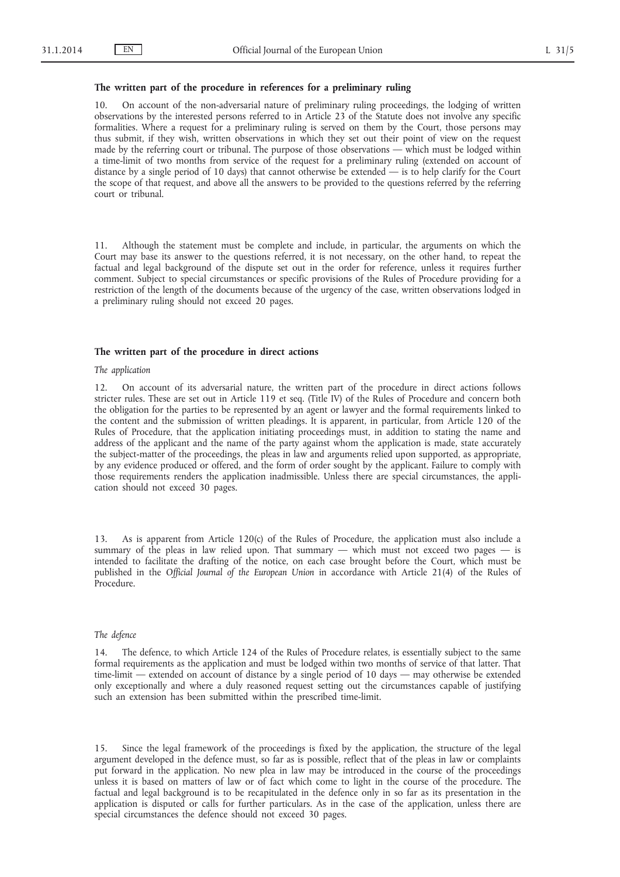## **The written part of the procedure in references for a preliminary ruling**

10. On account of the non-adversarial nature of preliminary ruling proceedings, the lodging of written observations by the interested persons referred to in Article 23 of the Statute does not involve any specific formalities. Where a request for a preliminary ruling is served on them by the Court, those persons may thus submit, if they wish, written observations in which they set out their point of view on the request made by the referring court or tribunal. The purpose of those observations — which must be lodged within a time-limit of two months from service of the request for a preliminary ruling (extended on account of distance by a single period of 10 days) that cannot otherwise be extended — is to help clarify for the Court the scope of that request, and above all the answers to be provided to the questions referred by the referring court or tribunal.

11. Although the statement must be complete and include, in particular, the arguments on which the Court may base its answer to the questions referred, it is not necessary, on the other hand, to repeat the factual and legal background of the dispute set out in the order for reference, unless it requires further comment. Subject to special circumstances or specific provisions of the Rules of Procedure providing for a restriction of the length of the documents because of the urgency of the case, written observations lodged in a preliminary ruling should not exceed 20 pages.

## **The written part of the procedure in direct actions**

*The application*

12. On account of its adversarial nature, the written part of the procedure in direct actions follows stricter rules. These are set out in Article 119 et seq. (Title IV) of the Rules of Procedure and concern both the obligation for the parties to be represented by an agent or lawyer and the formal requirements linked to the content and the submission of written pleadings. It is apparent, in particular, from Article 120 of the Rules of Procedure, that the application initiating proceedings must, in addition to stating the name and address of the applicant and the name of the party against whom the application is made, state accurately the subject-matter of the proceedings, the pleas in law and arguments relied upon supported, as appropriate, by any evidence produced or offered, and the form of order sought by the applicant. Failure to comply with those requirements renders the application inadmissible. Unless there are special circumstances, the application should not exceed 30 pages.

13. As is apparent from Article 120(c) of the Rules of Procedure, the application must also include a summary of the pleas in law relied upon. That summary — which must not exceed two pages — is intended to facilitate the drafting of the notice, on each case brought before the Court, which must be published in the *Official Journal of the European Union* in accordance with Article 21(4) of the Rules of Procedure.

## *The defence*

14. The defence, to which Article 124 of the Rules of Procedure relates, is essentially subject to the same formal requirements as the application and must be lodged within two months of service of that latter. That time-limit — extended on account of distance by a single period of 10 days — may otherwise be extended only exceptionally and where a duly reasoned request setting out the circumstances capable of justifying such an extension has been submitted within the prescribed time-limit.

15. Since the legal framework of the proceedings is fixed by the application, the structure of the legal argument developed in the defence must, so far as is possible, reflect that of the pleas in law or complaints put forward in the application. No new plea in law may be introduced in the course of the proceedings unless it is based on matters of law or of fact which come to light in the course of the procedure. The factual and legal background is to be recapitulated in the defence only in so far as its presentation in the application is disputed or calls for further particulars. As in the case of the application, unless there are special circumstances the defence should not exceed 30 pages.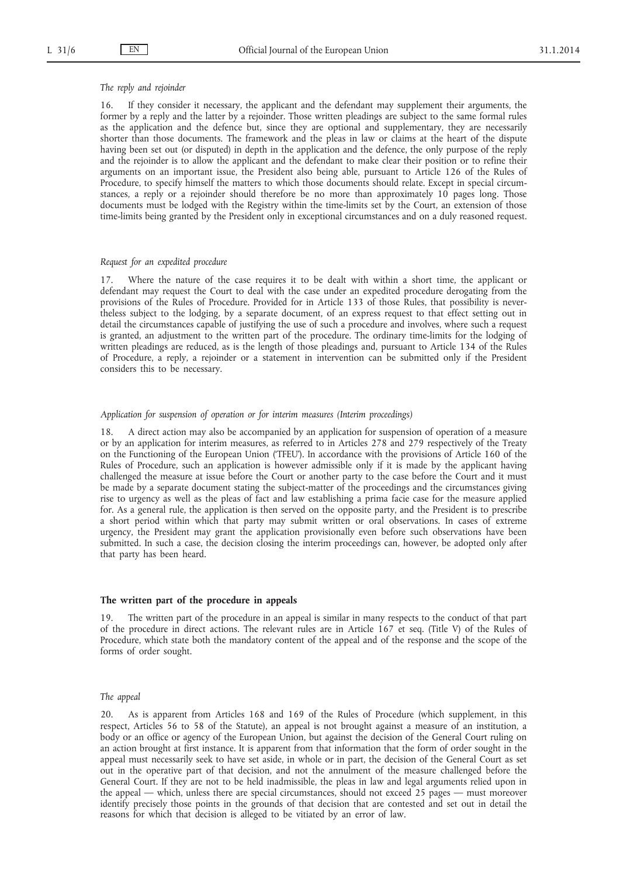#### *The reply and rejoinder*

16. If they consider it necessary, the applicant and the defendant may supplement their arguments, the former by a reply and the latter by a rejoinder. Those written pleadings are subject to the same formal rules as the application and the defence but, since they are optional and supplementary, they are necessarily shorter than those documents. The framework and the pleas in law or claims at the heart of the dispute having been set out (or disputed) in depth in the application and the defence, the only purpose of the reply and the rejoinder is to allow the applicant and the defendant to make clear their position or to refine their arguments on an important issue, the President also being able, pursuant to Article 126 of the Rules of Procedure, to specify himself the matters to which those documents should relate. Except in special circumstances, a reply or a rejoinder should therefore be no more than approximately 10 pages long. Those documents must be lodged with the Registry within the time-limits set by the Court, an extension of those time-limits being granted by the President only in exceptional circumstances and on a duly reasoned request.

#### *Request for an expedited procedure*

Where the nature of the case requires it to be dealt with within a short time, the applicant or defendant may request the Court to deal with the case under an expedited procedure derogating from the provisions of the Rules of Procedure. Provided for in Article 133 of those Rules, that possibility is nevertheless subject to the lodging, by a separate document, of an express request to that effect setting out in detail the circumstances capable of justifying the use of such a procedure and involves, where such a request is granted, an adjustment to the written part of the procedure. The ordinary time-limits for the lodging of written pleadings are reduced, as is the length of those pleadings and, pursuant to Article 134 of the Rules of Procedure, a reply, a rejoinder or a statement in intervention can be submitted only if the President considers this to be necessary.

#### *Application for suspension of operation or for interim measures (Interim proceedings)*

18. A direct action may also be accompanied by an application for suspension of operation of a measure or by an application for interim measures, as referred to in Articles 278 and 279 respectively of the Treaty on the Functioning of the European Union ('TFEU'). In accordance with the provisions of Article 160 of the Rules of Procedure, such an application is however admissible only if it is made by the applicant having challenged the measure at issue before the Court or another party to the case before the Court and it must be made by a separate document stating the subject-matter of the proceedings and the circumstances giving rise to urgency as well as the pleas of fact and law establishing a prima facie case for the measure applied for. As a general rule, the application is then served on the opposite party, and the President is to prescribe a short period within which that party may submit written or oral observations. In cases of extreme urgency, the President may grant the application provisionally even before such observations have been submitted. In such a case, the decision closing the interim proceedings can, however, be adopted only after that party has been heard.

## **The written part of the procedure in appeals**

19. The written part of the procedure in an appeal is similar in many respects to the conduct of that part of the procedure in direct actions. The relevant rules are in Article 167 et seq. (Title V) of the Rules of Procedure, which state both the mandatory content of the appeal and of the response and the scope of the forms of order sought.

#### *The appeal*

20. As is apparent from Articles 168 and 169 of the Rules of Procedure (which supplement, in this respect, Articles 56 to 58 of the Statute), an appeal is not brought against a measure of an institution, a body or an office or agency of the European Union, but against the decision of the General Court ruling on an action brought at first instance. It is apparent from that information that the form of order sought in the appeal must necessarily seek to have set aside, in whole or in part, the decision of the General Court as set out in the operative part of that decision, and not the annulment of the measure challenged before the General Court. If they are not to be held inadmissible, the pleas in law and legal arguments relied upon in the appeal — which, unless there are special circumstances, should not exceed 25 pages — must moreover identify precisely those points in the grounds of that decision that are contested and set out in detail the reasons for which that decision is alleged to be vitiated by an error of law.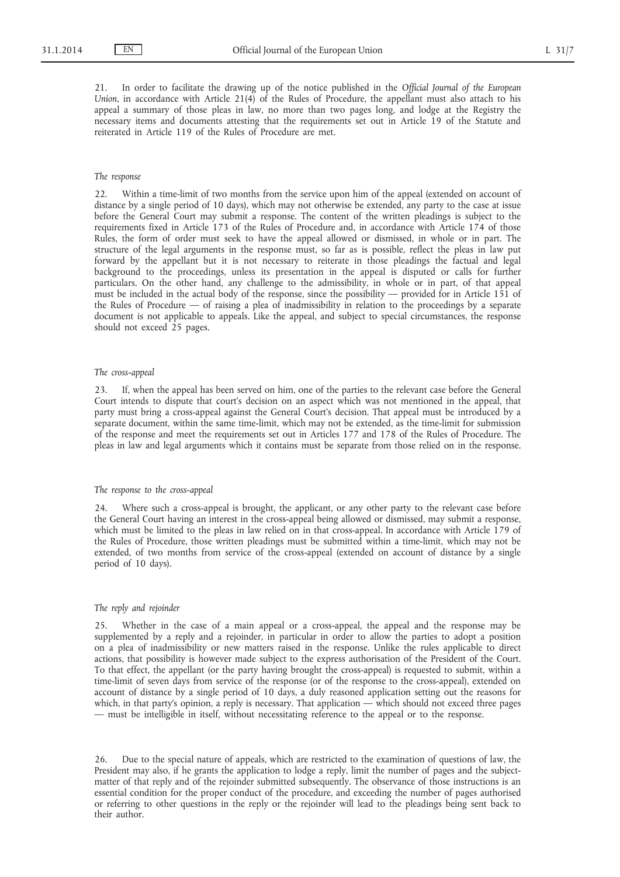21. In order to facilitate the drawing up of the notice published in the *Official Journal of the European Union*, in accordance with Article 21(4) of the Rules of Procedure, the appellant must also attach to his appeal a summary of those pleas in law, no more than two pages long, and lodge at the Registry the necessary items and documents attesting that the requirements set out in Article 19 of the Statute and reiterated in Article 119 of the Rules of Procedure are met.

## *The response*

22. Within a time-limit of two months from the service upon him of the appeal (extended on account of distance by a single period of 10 days), which may not otherwise be extended, any party to the case at issue before the General Court may submit a response. The content of the written pleadings is subject to the requirements fixed in Article 173 of the Rules of Procedure and, in accordance with Article 174 of those Rules, the form of order must seek to have the appeal allowed or dismissed, in whole or in part. The structure of the legal arguments in the response must, so far as is possible, reflect the pleas in law put forward by the appellant but it is not necessary to reiterate in those pleadings the factual and legal background to the proceedings, unless its presentation in the appeal is disputed or calls for further particulars. On the other hand, any challenge to the admissibility, in whole or in part, of that appeal must be included in the actual body of the response, since the possibility — provided for in Article 151 of the Rules of Procedure — of raising a plea of inadmissibility in relation to the proceedings by a separate document is not applicable to appeals. Like the appeal, and subject to special circumstances, the response should not exceed 25 pages.

#### *The cross-appeal*

23. If, when the appeal has been served on him, one of the parties to the relevant case before the General Court intends to dispute that court's decision on an aspect which was not mentioned in the appeal, that party must bring a cross-appeal against the General Court's decision. That appeal must be introduced by a separate document, within the same time-limit, which may not be extended, as the time-limit for submission of the response and meet the requirements set out in Articles 177 and 178 of the Rules of Procedure. The pleas in law and legal arguments which it contains must be separate from those relied on in the response.

#### *The response to the cross-appeal*

Where such a cross-appeal is brought, the applicant, or any other party to the relevant case before the General Court having an interest in the cross-appeal being allowed or dismissed, may submit a response, which must be limited to the pleas in law relied on in that cross-appeal. In accordance with Article 179 of the Rules of Procedure, those written pleadings must be submitted within a time-limit, which may not be extended, of two months from service of the cross-appeal (extended on account of distance by a single period of 10 days).

## *The reply and rejoinder*

25. Whether in the case of a main appeal or a cross-appeal, the appeal and the response may be supplemented by a reply and a rejoinder, in particular in order to allow the parties to adopt a position on a plea of inadmissibility or new matters raised in the response. Unlike the rules applicable to direct actions, that possibility is however made subject to the express authorisation of the President of the Court. To that effect, the appellant (or the party having brought the cross-appeal) is requested to submit, within a time-limit of seven days from service of the response (or of the response to the cross-appeal), extended on account of distance by a single period of 10 days, a duly reasoned application setting out the reasons for which, in that party's opinion, a reply is necessary. That application — which should not exceed three pages — must be intelligible in itself, without necessitating reference to the appeal or to the response.

26. Due to the special nature of appeals, which are restricted to the examination of questions of law, the President may also, if he grants the application to lodge a reply, limit the number of pages and the subjectmatter of that reply and of the rejoinder submitted subsequently. The observance of those instructions is an essential condition for the proper conduct of the procedure, and exceeding the number of pages authorised or referring to other questions in the reply or the rejoinder will lead to the pleadings being sent back to their author.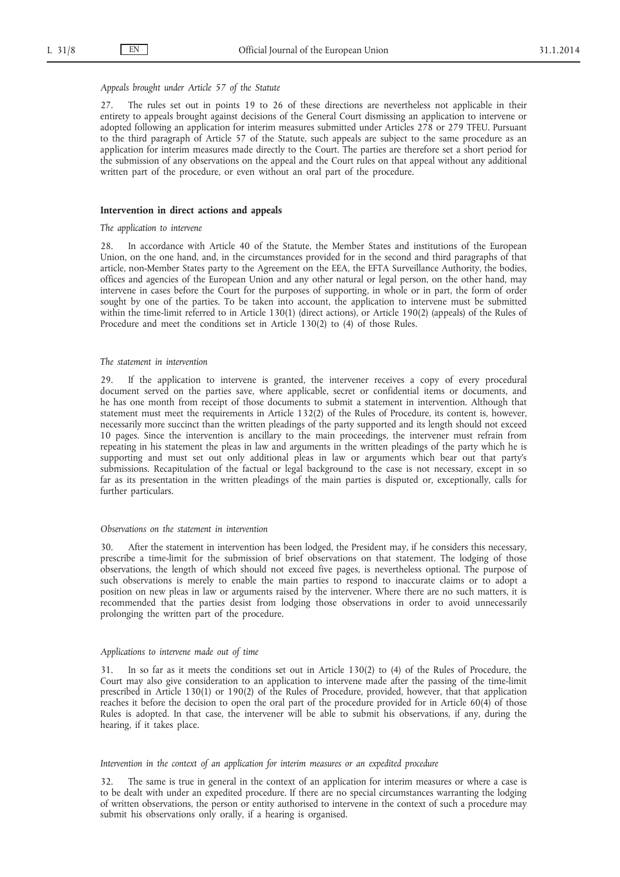#### *Appeals brought under Article 57 of the Statute*

27. The rules set out in points 19 to 26 of these directions are nevertheless not applicable in their entirety to appeals brought against decisions of the General Court dismissing an application to intervene or adopted following an application for interim measures submitted under Articles 278 or 279 TFEU. Pursuant to the third paragraph of Article 57 of the Statute, such appeals are subject to the same procedure as an application for interim measures made directly to the Court. The parties are therefore set a short period for the submission of any observations on the appeal and the Court rules on that appeal without any additional written part of the procedure, or even without an oral part of the procedure.

#### **Intervention in direct actions and appeals**

*The application to intervene*

28. In accordance with Article 40 of the Statute, the Member States and institutions of the European Union, on the one hand, and, in the circumstances provided for in the second and third paragraphs of that article, non-Member States party to the Agreement on the EEA, the EFTA Surveillance Authority, the bodies, offices and agencies of the European Union and any other natural or legal person, on the other hand, may intervene in cases before the Court for the purposes of supporting, in whole or in part, the form of order sought by one of the parties. To be taken into account, the application to intervene must be submitted within the time-limit referred to in Article 130(1) (direct actions), or Article 190(2) (appeals) of the Rules of Procedure and meet the conditions set in Article 130(2) to (4) of those Rules.

#### *The statement in intervention*

29. If the application to intervene is granted, the intervener receives a copy of every procedural document served on the parties save, where applicable, secret or confidential items or documents, and he has one month from receipt of those documents to submit a statement in intervention. Although that statement must meet the requirements in Article 132(2) of the Rules of Procedure, its content is, however, necessarily more succinct than the written pleadings of the party supported and its length should not exceed 10 pages. Since the intervention is ancillary to the main proceedings, the intervener must refrain from repeating in his statement the pleas in law and arguments in the written pleadings of the party which he is supporting and must set out only additional pleas in law or arguments which bear out that party's submissions. Recapitulation of the factual or legal background to the case is not necessary, except in so far as its presentation in the written pleadings of the main parties is disputed or, exceptionally, calls for further particulars.

#### *Observations on the statement in intervention*

30. After the statement in intervention has been lodged, the President may, if he considers this necessary, prescribe a time-limit for the submission of brief observations on that statement. The lodging of those observations, the length of which should not exceed five pages, is nevertheless optional. The purpose of such observations is merely to enable the main parties to respond to inaccurate claims or to adopt a position on new pleas in law or arguments raised by the intervener. Where there are no such matters, it is recommended that the parties desist from lodging those observations in order to avoid unnecessarily prolonging the written part of the procedure.

#### *Applications to intervene made out of time*

31. In so far as it meets the conditions set out in Article 130(2) to (4) of the Rules of Procedure, the Court may also give consideration to an application to intervene made after the passing of the time-limit prescribed in Article 130(1) or 190(2) of the Rules of Procedure, provided, however, that that application reaches it before the decision to open the oral part of the procedure provided for in Article 60(4) of those Rules is adopted. In that case, the intervener will be able to submit his observations, if any, during the hearing, if it takes place.

#### *Intervention in the context of an application for interim measures or an expedited procedure*

32. The same is true in general in the context of an application for interim measures or where a case is to be dealt with under an expedited procedure. If there are no special circumstances warranting the lodging of written observations, the person or entity authorised to intervene in the context of such a procedure may submit his observations only orally, if a hearing is organised.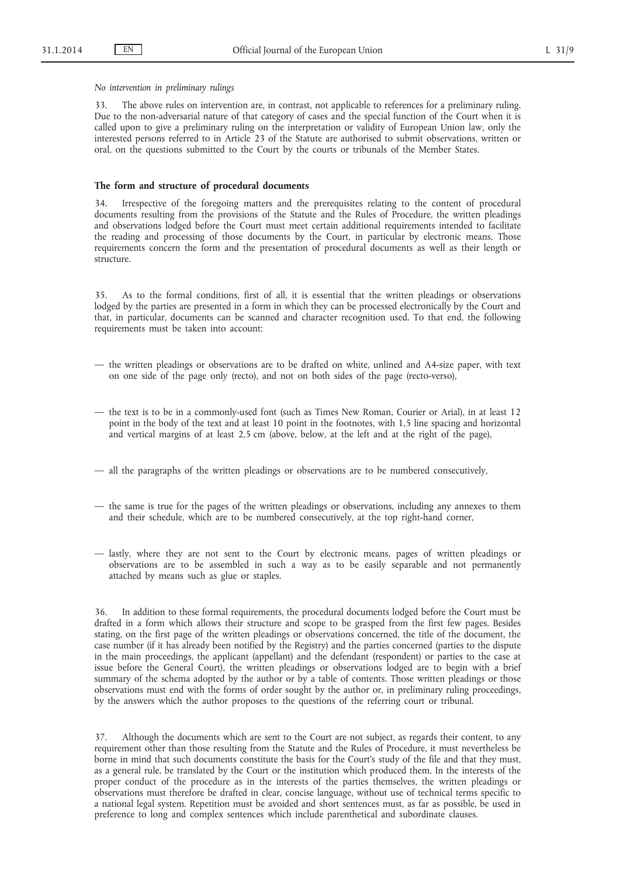#### *No intervention in preliminary rulings*

The above rules on intervention are, in contrast, not applicable to references for a preliminary ruling. Due to the non-adversarial nature of that category of cases and the special function of the Court when it is called upon to give a preliminary ruling on the interpretation or validity of European Union law, only the interested persons referred to in Article 23 of the Statute are authorised to submit observations, written or oral, on the questions submitted to the Court by the courts or tribunals of the Member States.

#### **The form and structure of procedural documents**

Irrespective of the foregoing matters and the prerequisites relating to the content of procedural documents resulting from the provisions of the Statute and the Rules of Procedure, the written pleadings and observations lodged before the Court must meet certain additional requirements intended to facilitate the reading and processing of those documents by the Court, in particular by electronic means. Those requirements concern the form and the presentation of procedural documents as well as their length or structure.

As to the formal conditions, first of all, it is essential that the written pleadings or observations lodged by the parties are presented in a form in which they can be processed electronically by the Court and that, in particular, documents can be scanned and character recognition used. To that end, the following requirements must be taken into account:

- the written pleadings or observations are to be drafted on white, unlined and A4-size paper, with text on one side of the page only (recto), and not on both sides of the page (recto-verso),
- the text is to be in a commonly-used font (such as Times New Roman, Courier or Arial), in at least 12 point in the body of the text and at least 10 point in the footnotes, with 1,5 line spacing and horizontal and vertical margins of at least 2,5 cm (above, below, at the left and at the right of the page),

— all the paragraphs of the written pleadings or observations are to be numbered consecutively,

- the same is true for the pages of the written pleadings or observations, including any annexes to them and their schedule, which are to be numbered consecutively, at the top right-hand corner,
- lastly, where they are not sent to the Court by electronic means, pages of written pleadings or observations are to be assembled in such a way as to be easily separable and not permanently attached by means such as glue or staples.

36. In addition to these formal requirements, the procedural documents lodged before the Court must be drafted in a form which allows their structure and scope to be grasped from the first few pages. Besides stating, on the first page of the written pleadings or observations concerned, the title of the document, the case number (if it has already been notified by the Registry) and the parties concerned (parties to the dispute in the main proceedings, the applicant (appellant) and the defendant (respondent) or parties to the case at issue before the General Court), the written pleadings or observations lodged are to begin with a brief summary of the schema adopted by the author or by a table of contents. Those written pleadings or those observations must end with the forms of order sought by the author or, in preliminary ruling proceedings, by the answers which the author proposes to the questions of the referring court or tribunal.

37. Although the documents which are sent to the Court are not subject, as regards their content, to any requirement other than those resulting from the Statute and the Rules of Procedure, it must nevertheless be borne in mind that such documents constitute the basis for the Court's study of the file and that they must, as a general rule, be translated by the Court or the institution which produced them. In the interests of the proper conduct of the procedure as in the interests of the parties themselves, the written pleadings or observations must therefore be drafted in clear, concise language, without use of technical terms specific to a national legal system. Repetition must be avoided and short sentences must, as far as possible, be used in preference to long and complex sentences which include parenthetical and subordinate clauses.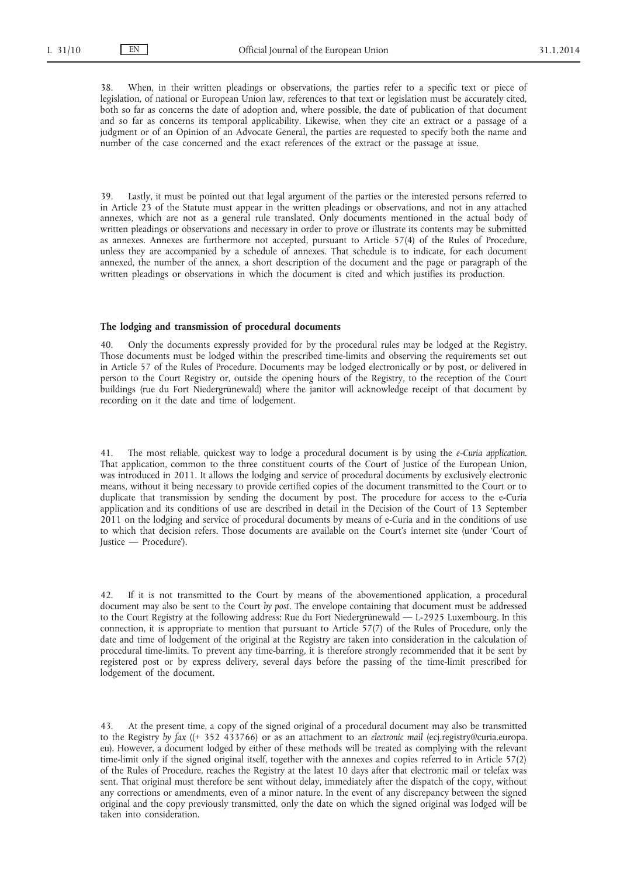When, in their written pleadings or observations, the parties refer to a specific text or piece of legislation, of national or European Union law, references to that text or legislation must be accurately cited, both so far as concerns the date of adoption and, where possible, the date of publication of that document and so far as concerns its temporal applicability. Likewise, when they cite an extract or a passage of a judgment or of an Opinion of an Advocate General, the parties are requested to specify both the name and number of the case concerned and the exact references of the extract or the passage at issue.

39. Lastly, it must be pointed out that legal argument of the parties or the interested persons referred to in Article 23 of the Statute must appear in the written pleadings or observations, and not in any attached annexes, which are not as a general rule translated. Only documents mentioned in the actual body of written pleadings or observations and necessary in order to prove or illustrate its contents may be submitted as annexes. Annexes are furthermore not accepted, pursuant to Article 57(4) of the Rules of Procedure, unless they are accompanied by a schedule of annexes. That schedule is to indicate, for each document annexed, the number of the annex, a short description of the document and the page or paragraph of the written pleadings or observations in which the document is cited and which justifies its production.

#### **The lodging and transmission of procedural documents**

40. Only the documents expressly provided for by the procedural rules may be lodged at the Registry. Those documents must be lodged within the prescribed time-limits and observing the requirements set out in Article 57 of the Rules of Procedure. Documents may be lodged electronically or by post, or delivered in person to the Court Registry or, outside the opening hours of the Registry, to the reception of the Court buildings (rue du Fort Niedergrünewald) where the janitor will acknowledge receipt of that document by recording on it the date and time of lodgement.

41. The most reliable, quickest way to lodge a procedural document is by using the *e-Curia application*. That application, common to the three constituent courts of the Court of Justice of the European Union, was introduced in 2011. It allows the lodging and service of procedural documents by exclusively electronic means, without it being necessary to provide certified copies of the document transmitted to the Court or to duplicate that transmission by sending the document by post. The procedure for access to the e-Curia application and its conditions of use are described in detail in the Decision of the Court of 13 September 2011 on the lodging and service of procedural documents by means of e-Curia and in the conditions of use to which that decision refers. Those documents are available on the Court's internet site (under 'Court of Justice — Procedure').

42. If it is not transmitted to the Court by means of the abovementioned application, a procedural document may also be sent to the Court *by post*. The envelope containing that document must be addressed to the Court Registry at the following address: Rue du Fort Niedergrünewald — L-2925 Luxembourg. In this connection, it is appropriate to mention that pursuant to Article 57(7) of the Rules of Procedure, only the date and time of lodgement of the original at the Registry are taken into consideration in the calculation of procedural time-limits. To prevent any time-barring, it is therefore strongly recommended that it be sent by registered post or by express delivery, several days before the passing of the time-limit prescribed for lodgement of the document.

43. At the present time, a copy of the signed original of a procedural document may also be transmitted to the Registry *by fax* ((+ 352 433766) or as an attachment to an *electronic mail* [\(ecj.registry@curia.europa.](mailto:ecj.registry@curia.europa.eu) [eu](mailto:ecj.registry@curia.europa.eu)). However, a document lodged by either of these methods will be treated as complying with the relevant time-limit only if the signed original itself, together with the annexes and copies referred to in Article 57(2) of the Rules of Procedure, reaches the Registry at the latest 10 days after that electronic mail or telefax was sent. That original must therefore be sent without delay, immediately after the dispatch of the copy, without any corrections or amendments, even of a minor nature. In the event of any discrepancy between the signed original and the copy previously transmitted, only the date on which the signed original was lodged will be taken into consideration.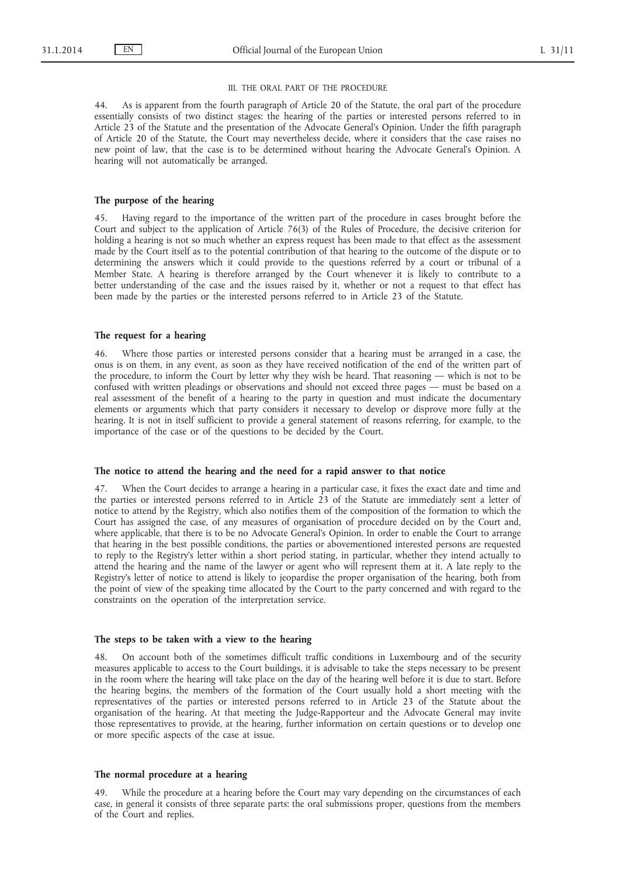#### III. THE ORAL PART OF THE PROCEDURE

44. As is apparent from the fourth paragraph of Article 20 of the Statute, the oral part of the procedure essentially consists of two distinct stages: the hearing of the parties or interested persons referred to in Article 23 of the Statute and the presentation of the Advocate General's Opinion. Under the fifth paragraph of Article 20 of the Statute, the Court may nevertheless decide, where it considers that the case raises no new point of law, that the case is to be determined without hearing the Advocate General's Opinion. A hearing will not automatically be arranged.

## **The purpose of the hearing**

45. Having regard to the importance of the written part of the procedure in cases brought before the Court and subject to the application of Article 76(3) of the Rules of Procedure, the decisive criterion for holding a hearing is not so much whether an express request has been made to that effect as the assessment made by the Court itself as to the potential contribution of that hearing to the outcome of the dispute or to determining the answers which it could provide to the questions referred by a court or tribunal of a Member State. A hearing is therefore arranged by the Court whenever it is likely to contribute to a better understanding of the case and the issues raised by it, whether or not a request to that effect has been made by the parties or the interested persons referred to in Article 23 of the Statute.

## **The request for a hearing**

Where those parties or interested persons consider that a hearing must be arranged in a case, the onus is on them, in any event, as soon as they have received notification of the end of the written part of the procedure, to inform the Court by letter why they wish be heard. That reasoning — which is not to be confused with written pleadings or observations and should not exceed three pages — must be based on a real assessment of the benefit of a hearing to the party in question and must indicate the documentary elements or arguments which that party considers it necessary to develop or disprove more fully at the hearing. It is not in itself sufficient to provide a general statement of reasons referring, for example, to the importance of the case or of the questions to be decided by the Court.

#### **The notice to attend the hearing and the need for a rapid answer to that notice**

When the Court decides to arrange a hearing in a particular case, it fixes the exact date and time and the parties or interested persons referred to in Article 23 of the Statute are immediately sent a letter of notice to attend by the Registry, which also notifies them of the composition of the formation to which the Court has assigned the case, of any measures of organisation of procedure decided on by the Court and, where applicable, that there is to be no Advocate General's Opinion. In order to enable the Court to arrange that hearing in the best possible conditions, the parties or abovementioned interested persons are requested to reply to the Registry's letter within a short period stating, in particular, whether they intend actually to attend the hearing and the name of the lawyer or agent who will represent them at it. A late reply to the Registry's letter of notice to attend is likely to jeopardise the proper organisation of the hearing, both from the point of view of the speaking time allocated by the Court to the party concerned and with regard to the constraints on the operation of the interpretation service.

#### **The steps to be taken with a view to the hearing**

48. On account both of the sometimes difficult traffic conditions in Luxembourg and of the security measures applicable to access to the Court buildings, it is advisable to take the steps necessary to be present in the room where the hearing will take place on the day of the hearing well before it is due to start. Before the hearing begins, the members of the formation of the Court usually hold a short meeting with the representatives of the parties or interested persons referred to in Article 23 of the Statute about the organisation of the hearing. At that meeting the Judge-Rapporteur and the Advocate General may invite those representatives to provide, at the hearing, further information on certain questions or to develop one or more specific aspects of the case at issue.

## **The normal procedure at a hearing**

While the procedure at a hearing before the Court may vary depending on the circumstances of each case, in general it consists of three separate parts: the oral submissions proper, questions from the members of the Court and replies.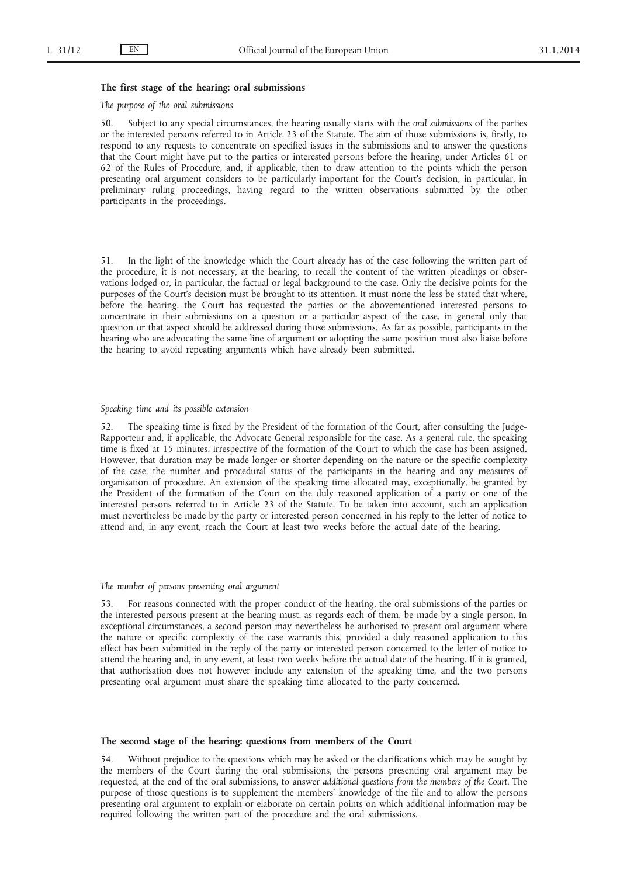#### **The first stage of the hearing: oral submissions**

#### *The purpose of the oral submissions*

50. Subject to any special circumstances, the hearing usually starts with the *oral submissions* of the parties or the interested persons referred to in Article 23 of the Statute. The aim of those submissions is, firstly, to respond to any requests to concentrate on specified issues in the submissions and to answer the questions that the Court might have put to the parties or interested persons before the hearing, under Articles 61 or 62 of the Rules of Procedure, and, if applicable, then to draw attention to the points which the person presenting oral argument considers to be particularly important for the Court's decision, in particular, in preliminary ruling proceedings, having regard to the written observations submitted by the other participants in the proceedings.

51. In the light of the knowledge which the Court already has of the case following the written part of the procedure, it is not necessary, at the hearing, to recall the content of the written pleadings or observations lodged or, in particular, the factual or legal background to the case. Only the decisive points for the purposes of the Court's decision must be brought to its attention. It must none the less be stated that where, before the hearing, the Court has requested the parties or the abovementioned interested persons to concentrate in their submissions on a question or a particular aspect of the case, in general only that question or that aspect should be addressed during those submissions. As far as possible, participants in the hearing who are advocating the same line of argument or adopting the same position must also liaise before the hearing to avoid repeating arguments which have already been submitted.

#### *Speaking time and its possible extension*

52. The speaking time is fixed by the President of the formation of the Court, after consulting the Judge-Rapporteur and, if applicable, the Advocate General responsible for the case. As a general rule, the speaking time is fixed at 15 minutes, irrespective of the formation of the Court to which the case has been assigned. However, that duration may be made longer or shorter depending on the nature or the specific complexity of the case, the number and procedural status of the participants in the hearing and any measures of organisation of procedure. An extension of the speaking time allocated may, exceptionally, be granted by the President of the formation of the Court on the duly reasoned application of a party or one of the interested persons referred to in Article 23 of the Statute. To be taken into account, such an application must nevertheless be made by the party or interested person concerned in his reply to the letter of notice to attend and, in any event, reach the Court at least two weeks before the actual date of the hearing.

## *The number of persons presenting oral argument*

53. For reasons connected with the proper conduct of the hearing, the oral submissions of the parties or the interested persons present at the hearing must, as regards each of them, be made by a single person. In exceptional circumstances, a second person may nevertheless be authorised to present oral argument where the nature or specific complexity of the case warrants this, provided a duly reasoned application to this effect has been submitted in the reply of the party or interested person concerned to the letter of notice to attend the hearing and, in any event, at least two weeks before the actual date of the hearing. If it is granted, that authorisation does not however include any extension of the speaking time, and the two persons presenting oral argument must share the speaking time allocated to the party concerned.

#### **The second stage of the hearing: questions from members of the Court**

54. Without prejudice to the questions which may be asked or the clarifications which may be sought by the members of the Court during the oral submissions, the persons presenting oral argument may be requested, at the end of the oral submissions, to answer *additional questions from the members of the Court*. The purpose of those questions is to supplement the members' knowledge of the file and to allow the persons presenting oral argument to explain or elaborate on certain points on which additional information may be required following the written part of the procedure and the oral submissions.